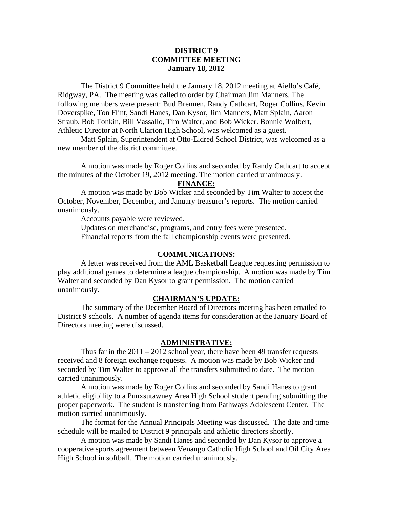## **DISTRICT 9 COMMITTEE MEETING January 18, 2012**

 The District 9 Committee held the January 18, 2012 meeting at Aiello's Café, Ridgway, PA. The meeting was called to order by Chairman Jim Manners. The following members were present: Bud Brennen, Randy Cathcart, Roger Collins, Kevin Doverspike, Ton Flint, Sandi Hanes, Dan Kysor, Jim Manners, Matt Splain, Aaron Straub, Bob Tonkin, Bill Vassallo, Tim Walter, and Bob Wicker. Bonnie Wolbert, Athletic Director at North Clarion High School, was welcomed as a guest.

 Matt Splain, Superintendent at Otto-Eldred School District, was welcomed as a new member of the district committee.

 A motion was made by Roger Collins and seconded by Randy Cathcart to accept the minutes of the October 19, 2012 meeting. The motion carried unanimously.

#### **FINANCE:**

A motion was made by Bob Wicker and seconded by Tim Walter to accept the October, November, December, and January treasurer's reports. The motion carried unanimously.

Accounts payable were reviewed.

 Updates on merchandise, programs, and entry fees were presented. Financial reports from the fall championship events were presented.

#### **COMMUNICATIONS:**

 A letter was received from the AML Basketball League requesting permission to play additional games to determine a league championship. A motion was made by Tim Walter and seconded by Dan Kysor to grant permission. The motion carried unanimously.

#### **CHAIRMAN'S UPDATE:**

 The summary of the December Board of Directors meeting has been emailed to District 9 schools. A number of agenda items for consideration at the January Board of Directors meeting were discussed.

### **ADMINISTRATIVE:**

Thus far in the  $2011 - 2012$  school year, there have been 49 transfer requests received and 8 foreign exchange requests. A motion was made by Bob Wicker and seconded by Tim Walter to approve all the transfers submitted to date. The motion carried unanimously.

 A motion was made by Roger Collins and seconded by Sandi Hanes to grant athletic eligibility to a Punxsutawney Area High School student pending submitting the proper paperwork. The student is transferring from Pathways Adolescent Center. The motion carried unanimously.

 The format for the Annual Principals Meeting was discussed. The date and time schedule will be mailed to District 9 principals and athletic directors shortly.

 A motion was made by Sandi Hanes and seconded by Dan Kysor to approve a cooperative sports agreement between Venango Catholic High School and Oil City Area High School in softball. The motion carried unanimously.